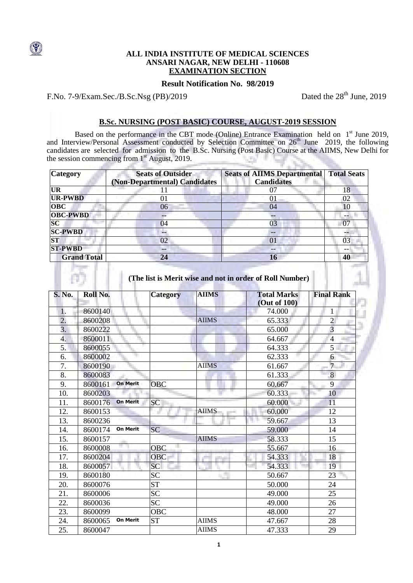## **ALL INDIA INSTITUTE OF MEDICAL SCIENCES ANSARI NAGAR, NEW DELHI - 110608 EXAMINATION SECTION**

### **Result Notification No. 98/2019**

F.No. 7-9/Exam.Sec./B.Sc.Nsg (PB)/2019 Dated the 28<sup>th</sup> June, 2019

# **B.Sc. NURSING (POST BASIC) COURSE, AUGUST-2019 SESSION**

Based on the performance in the CBT mode (Online) Entrance Examination held on 1<sup>st</sup> June 2019, and Interview/Personal Assessment conducted by Selection Committee on 26<sup>th</sup> June 2019, the following candidates are selected for admission to the B.Sc. Nursing (Post Basic) Course at the AIIMS, New Delhi for the session commencing from  $1<sup>st</sup>$  August, 2019. V. 36

| <b>Category</b>    | <b>Seats of Outsider</b><br>(Non-Departmental) Candidates | <b>Seats of AIIMS Departmental</b><br><b>Candidates</b> | <b>Total Seats</b> |
|--------------------|-----------------------------------------------------------|---------------------------------------------------------|--------------------|
| <b>UR</b>          |                                                           | 07                                                      | 18                 |
| <b>UR-PWBD</b>     | 01                                                        | 01                                                      | 02                 |
| <b>OBC</b>         | 06                                                        | 04                                                      | 10                 |
| <b>OBC-PWBD</b>    |                                                           |                                                         | --                 |
| $\overline{SC}$    | 04                                                        | 03                                                      | 07                 |
| <b>SC-PWBD</b>     | --                                                        | $- -$                                                   |                    |
| <b>ST</b>          | 02                                                        | 01                                                      | 03                 |
| <b>ST-PWBD</b>     | --                                                        | $-$                                                     |                    |
| <b>Grand Total</b> | 24                                                        | 16                                                      | 40                 |

**(The list is Merit wise and not in order of Roll Number)**

| <b>S. No.</b>    | Roll No. |                 | Category        | <b>AIIMS</b> | <b>Total Marks</b><br>(Out of 100) | <b>Final Rank</b> |
|------------------|----------|-----------------|-----------------|--------------|------------------------------------|-------------------|
| 1.               | 8600140  |                 |                 |              | 74.000                             | $\mathbf{1}$      |
| $\overline{2}$ . | 8600208  |                 |                 | <b>AIIMS</b> | 65.333                             | $\overline{c}$    |
| $\overline{3}$ . | 8600222  |                 |                 |              | 65.000                             | $\overline{3}$    |
| 4.               | 8600011  |                 |                 |              | 64.667                             | $\overline{4}$    |
| 5.               | 8600055  |                 |                 |              | 64.333                             | 5                 |
| 6.               | 8600002  |                 |                 |              | 62.333                             | 6                 |
| 7.               | 8600190  |                 |                 | <b>AIIMS</b> | 61.667                             | $\overline{7}$    |
| 8.               | 8600083  |                 |                 |              | 61.333                             | 8                 |
| 9.               | 8600161  | <b>On Merit</b> | <b>OBC</b>      |              | 60.667                             | 9                 |
| 10.              | 8600203  |                 |                 |              | 60.333                             | 10                |
| 11.              | 8600176  | <b>On Merit</b> | <b>SC</b>       |              | 60.000                             | 11                |
| 12.              | 8600153  |                 |                 | <b>AIIMS</b> | 60.000                             | 12                |
| 13.              | 8600236  |                 |                 |              | 59.667                             | 13                |
| 14.              | 8600174  | <b>On Merit</b> | <b>SC</b>       |              | 59.000                             | 14                |
| 15.              | 8600157  |                 |                 | <b>AIIMS</b> | 58.333                             | 15                |
| 16.              | 8600008  |                 | <b>OBC</b>      |              | 55.667                             | 16                |
| 17.              | 8600204  |                 | <b>OBC</b>      |              | 54.333                             | 18                |
| 18.              | 8600057  |                 | <b>SC</b>       |              | 54.333                             | 19                |
| 19.              | 8600180  |                 | <b>SC</b>       |              | 50.667                             | 23                |
| 20.              | 8600076  |                 | <b>ST</b>       |              | 50.000                             | 24                |
| 21.              | 8600006  |                 | <b>SC</b>       |              | 49.000                             | 25                |
| 22.              | 8600036  |                 | $\overline{SC}$ |              | 49.000                             | 26                |
| 23.              | 8600099  |                 | <b>OBC</b>      |              | 48.000                             | 27                |
| 24.              | 8600065  | <b>On Merit</b> | <b>ST</b>       | <b>AIIMS</b> | 47.667                             | 28                |
| 25.              | 8600047  |                 |                 | <b>AIIMS</b> | 47.333                             | 29                |